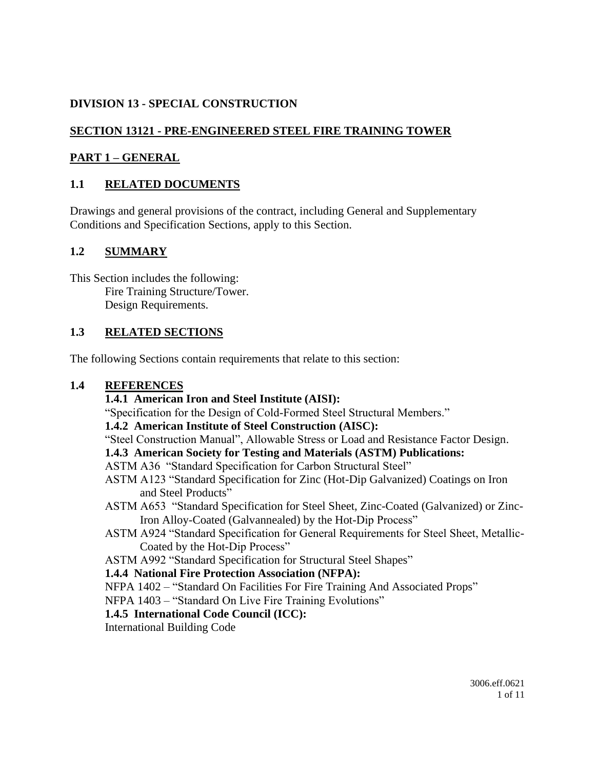# **DIVISION 13 - SPECIAL CONSTRUCTION**

# **SECTION 13121 - PRE-ENGINEERED STEEL FIRE TRAINING TOWER**

## **PART 1 – GENERAL**

## **1.1 RELATED DOCUMENTS**

Drawings and general provisions of the contract, including General and Supplementary Conditions and Specification Sections, apply to this Section.

## **1.2 SUMMARY**

This Section includes the following: Fire Training Structure/Tower. Design Requirements.

## **1.3 RELATED SECTIONS**

The following Sections contain requirements that relate to this section:

### **1.4 REFERENCES**

### **1.4.1 American Iron and Steel Institute (AISI):**

"Specification for the Design of Cold-Formed Steel Structural Members."

### **1.4.2 American Institute of Steel Construction (AISC):**

"Steel Construction Manual", Allowable Stress or Load and Resistance Factor Design.

### **1.4.3 American Society for Testing and Materials (ASTM) Publications:**

### ASTM A36 "Standard Specification for Carbon Structural Steel"

- ASTM A123 "Standard Specification for Zinc (Hot-Dip Galvanized) Coatings on Iron and Steel Products"
- ASTM A653 "Standard Specification for Steel Sheet, Zinc-Coated (Galvanized) or Zinc-Iron Alloy-Coated (Galvannealed) by the Hot-Dip Process"
- ASTM A924 "Standard Specification for General Requirements for Steel Sheet, Metallic-Coated by the Hot-Dip Process"
- ASTM A992 "Standard Specification for Structural Steel Shapes"

### **1.4.4 National Fire Protection Association (NFPA):**

NFPA 1402 – "Standard On Facilities For Fire Training And Associated Props"

NFPA 1403 – "Standard On Live Fire Training Evolutions"

### **1.4.5 International Code Council (ICC):**

International Building Code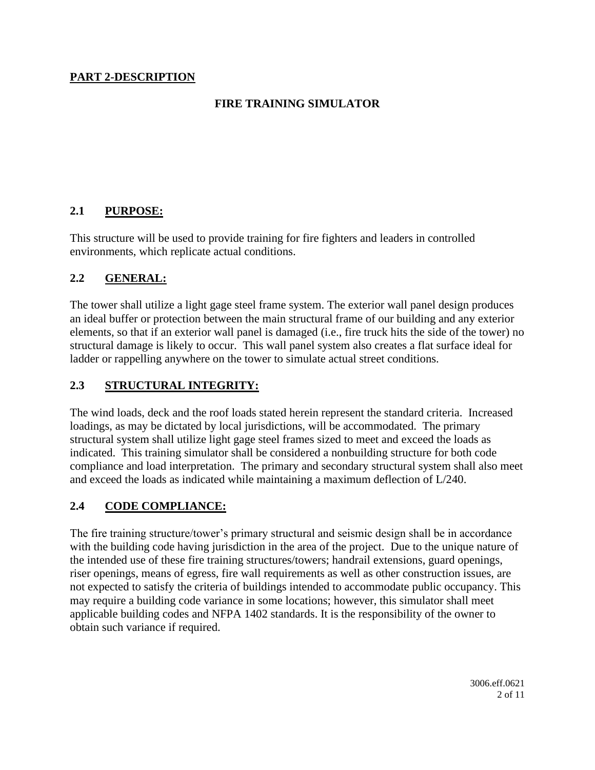## **PART 2-DESCRIPTION**

## **FIRE TRAINING SIMULATOR**

## **2.1 PURPOSE:**

This structure will be used to provide training for fire fighters and leaders in controlled environments, which replicate actual conditions.

### **2.2 GENERAL:**

The tower shall utilize a light gage steel frame system. The exterior wall panel design produces an ideal buffer or protection between the main structural frame of our building and any exterior elements, so that if an exterior wall panel is damaged (i.e., fire truck hits the side of the tower) no structural damage is likely to occur. This wall panel system also creates a flat surface ideal for ladder or rappelling anywhere on the tower to simulate actual street conditions.

### **2.3 STRUCTURAL INTEGRITY:**

The wind loads, deck and the roof loads stated herein represent the standard criteria. Increased loadings, as may be dictated by local jurisdictions, will be accommodated. The primary structural system shall utilize light gage steel frames sized to meet and exceed the loads as indicated. This training simulator shall be considered a nonbuilding structure for both code compliance and load interpretation. The primary and secondary structural system shall also meet and exceed the loads as indicated while maintaining a maximum deflection of L/240.

### **2.4 CODE COMPLIANCE:**

The fire training structure/tower's primary structural and seismic design shall be in accordance with the building code having jurisdiction in the area of the project. Due to the unique nature of the intended use of these fire training structures/towers; handrail extensions, guard openings, riser openings, means of egress, fire wall requirements as well as other construction issues, are not expected to satisfy the criteria of buildings intended to accommodate public occupancy. This may require a building code variance in some locations; however, this simulator shall meet applicable building codes and NFPA 1402 standards. It is the responsibility of the owner to obtain such variance if required.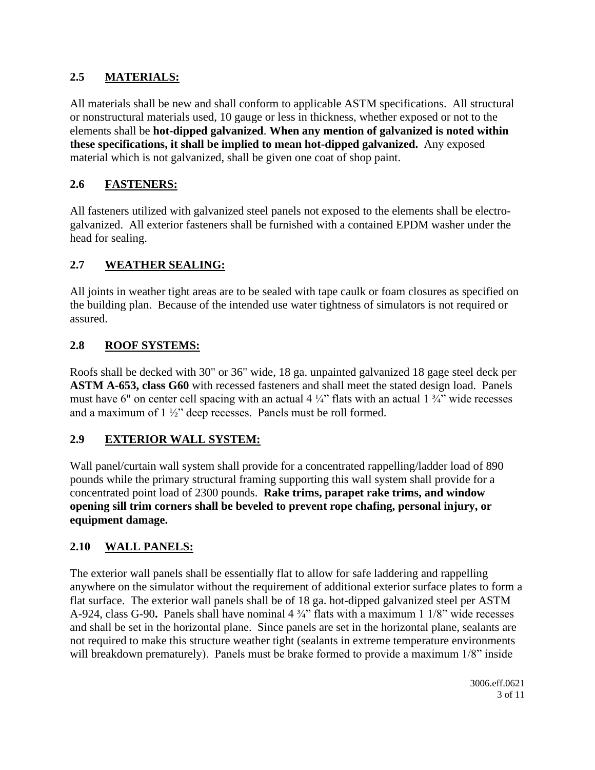# **2.5 MATERIALS:**

All materials shall be new and shall conform to applicable ASTM specifications. All structural or nonstructural materials used, 10 gauge or less in thickness, whether exposed or not to the elements shall be **hot-dipped galvanized**. **When any mention of galvanized is noted within these specifications, it shall be implied to mean hot-dipped galvanized.** Any exposed material which is not galvanized, shall be given one coat of shop paint.

# **2.6 FASTENERS:**

All fasteners utilized with galvanized steel panels not exposed to the elements shall be electrogalvanized. All exterior fasteners shall be furnished with a contained EPDM washer under the head for sealing.

# **2.7 WEATHER SEALING:**

All joints in weather tight areas are to be sealed with tape caulk or foam closures as specified on the building plan. Because of the intended use water tightness of simulators is not required or assured.

# **2.8 ROOF SYSTEMS:**

Roofs shall be decked with 30" or 36" wide, 18 ga. unpainted galvanized 18 gage steel deck per **ASTM A-653, class G60** with recessed fasteners and shall meet the stated design load. Panels must have 6" on center cell spacing with an actual 4  $\frac{1}{4}$ " flats with an actual 1  $\frac{3}{4}$ " wide recesses and a maximum of 1 ½" deep recesses. Panels must be roll formed.

# **2.9 EXTERIOR WALL SYSTEM:**

Wall panel/curtain wall system shall provide for a concentrated rappelling/ladder load of 890 pounds while the primary structural framing supporting this wall system shall provide for a concentrated point load of 2300 pounds. **Rake trims, parapet rake trims, and window opening sill trim corners shall be beveled to prevent rope chafing, personal injury, or equipment damage.**

# **2.10 WALL PANELS:**

The exterior wall panels shall be essentially flat to allow for safe laddering and rappelling anywhere on the simulator without the requirement of additional exterior surface plates to form a flat surface. The exterior wall panels shall be of 18 ga. hot-dipped galvanized steel per ASTM A-924, class G-90**.** Panels shall have nominal 4 ¾" flats with a maximum 1 1/8" wide recesses and shall be set in the horizontal plane. Since panels are set in the horizontal plane, sealants are not required to make this structure weather tight (sealants in extreme temperature environments will breakdown prematurely). Panels must be brake formed to provide a maximum  $1/8$ " inside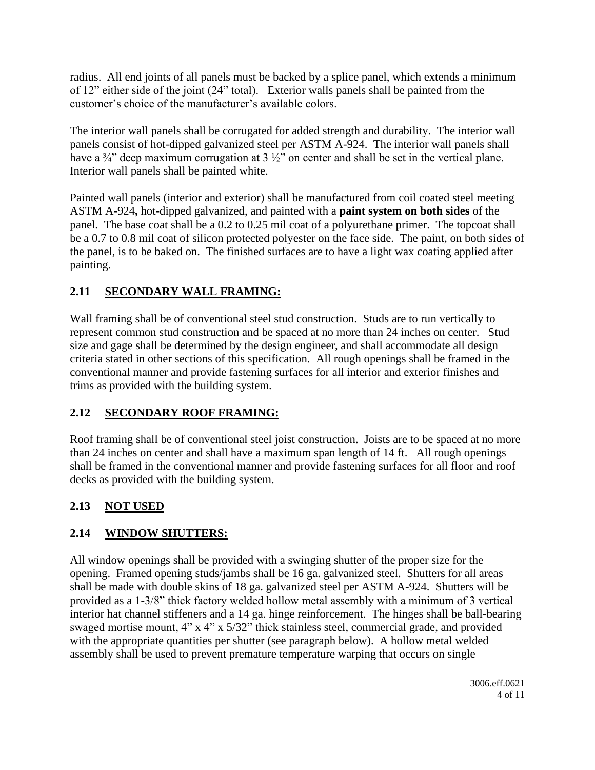radius. All end joints of all panels must be backed by a splice panel, which extends a minimum of 12" either side of the joint (24" total). Exterior walls panels shall be painted from the customer's choice of the manufacturer's available colors.

The interior wall panels shall be corrugated for added strength and durability. The interior wall panels consist of hot-dipped galvanized steel per ASTM A-924. The interior wall panels shall have a  $\frac{3}{4}$  deep maximum corrugation at 3  $\frac{1}{2}$  on center and shall be set in the vertical plane. Interior wall panels shall be painted white.

Painted wall panels (interior and exterior) shall be manufactured from coil coated steel meeting ASTM A-924**,** hot-dipped galvanized, and painted with a **paint system on both sides** of the panel. The base coat shall be a 0.2 to 0.25 mil coat of a polyurethane primer. The topcoat shall be a 0.7 to 0.8 mil coat of silicon protected polyester on the face side. The paint, on both sides of the panel, is to be baked on. The finished surfaces are to have a light wax coating applied after painting.

# **2.11 SECONDARY WALL FRAMING:**

Wall framing shall be of conventional steel stud construction. Studs are to run vertically to represent common stud construction and be spaced at no more than 24 inches on center. Stud size and gage shall be determined by the design engineer, and shall accommodate all design criteria stated in other sections of this specification. All rough openings shall be framed in the conventional manner and provide fastening surfaces for all interior and exterior finishes and trims as provided with the building system.

# **2.12 SECONDARY ROOF FRAMING:**

Roof framing shall be of conventional steel joist construction. Joists are to be spaced at no more than 24 inches on center and shall have a maximum span length of 14 ft. All rough openings shall be framed in the conventional manner and provide fastening surfaces for all floor and roof decks as provided with the building system.

# **2.13 NOT USED**

# **2.14 WINDOW SHUTTERS:**

All window openings shall be provided with a swinging shutter of the proper size for the opening. Framed opening studs/jambs shall be 16 ga. galvanized steel. Shutters for all areas shall be made with double skins of 18 ga. galvanized steel per ASTM A-924. Shutters will be provided as a 1-3/8" thick factory welded hollow metal assembly with a minimum of 3 vertical interior hat channel stiffeners and a 14 ga. hinge reinforcement. The hinges shall be ball-bearing swaged mortise mount, 4" x 4" x 5/32" thick stainless steel, commercial grade, and provided with the appropriate quantities per shutter (see paragraph below). A hollow metal welded assembly shall be used to prevent premature temperature warping that occurs on single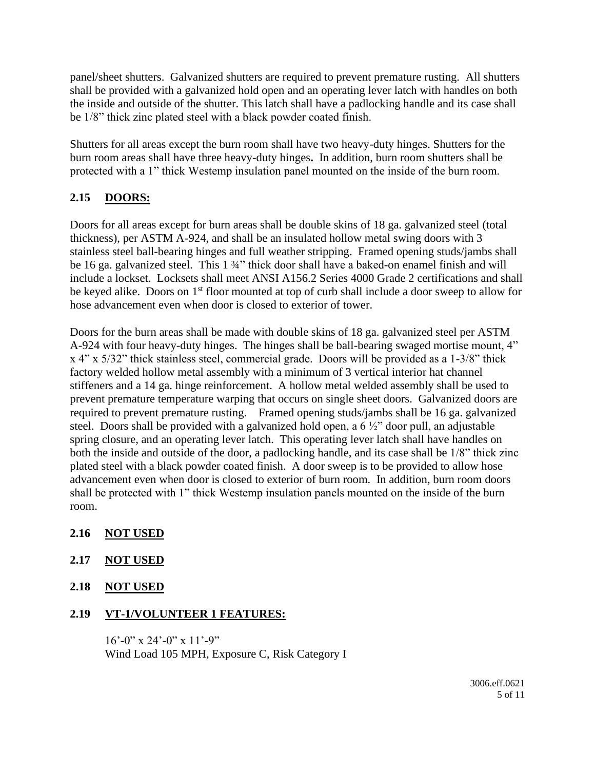panel/sheet shutters. Galvanized shutters are required to prevent premature rusting. All shutters shall be provided with a galvanized hold open and an operating lever latch with handles on both the inside and outside of the shutter. This latch shall have a padlocking handle and its case shall be 1/8" thick zinc plated steel with a black powder coated finish.

Shutters for all areas except the burn room shall have two heavy-duty hinges. Shutters for the burn room areas shall have three heavy-duty hinges**.** In addition, burn room shutters shall be protected with a 1" thick Westemp insulation panel mounted on the inside of the burn room.

# **2.15 DOORS:**

Doors for all areas except for burn areas shall be double skins of 18 ga. galvanized steel (total thickness), per ASTM A-924, and shall be an insulated hollow metal swing doors with 3 stainless steel ball-bearing hinges and full weather stripping. Framed opening studs/jambs shall be 16 ga. galvanized steel. This 1 34" thick door shall have a baked-on enamel finish and will include a lockset. Locksets shall meet ANSI A156.2 Series 4000 Grade 2 certifications and shall be keyed alike. Doors on 1<sup>st</sup> floor mounted at top of curb shall include a door sweep to allow for hose advancement even when door is closed to exterior of tower.

Doors for the burn areas shall be made with double skins of 18 ga. galvanized steel per ASTM A-924 with four heavy-duty hinges. The hinges shall be ball-bearing swaged mortise mount, 4" x 4" x 5/32" thick stainless steel, commercial grade. Doors will be provided as a 1-3/8" thick factory welded hollow metal assembly with a minimum of 3 vertical interior hat channel stiffeners and a 14 ga. hinge reinforcement. A hollow metal welded assembly shall be used to prevent premature temperature warping that occurs on single sheet doors. Galvanized doors are required to prevent premature rusting. Framed opening studs/jambs shall be 16 ga. galvanized steel. Doors shall be provided with a galvanized hold open, a 6 ½" door pull, an adjustable spring closure, and an operating lever latch. This operating lever latch shall have handles on both the inside and outside of the door, a padlocking handle, and its case shall be 1/8" thick zinc plated steel with a black powder coated finish. A door sweep is to be provided to allow hose advancement even when door is closed to exterior of burn room. In addition, burn room doors shall be protected with 1" thick Westemp insulation panels mounted on the inside of the burn room.

- **2.16 NOT USED**
- **2.17 NOT USED**
- **2.18 NOT USED**

### **2.19 VT-1/VOLUNTEER 1 FEATURES:**

 $16'$ -0" x 24'-0" x 11'-9" Wind Load 105 MPH, Exposure C, Risk Category I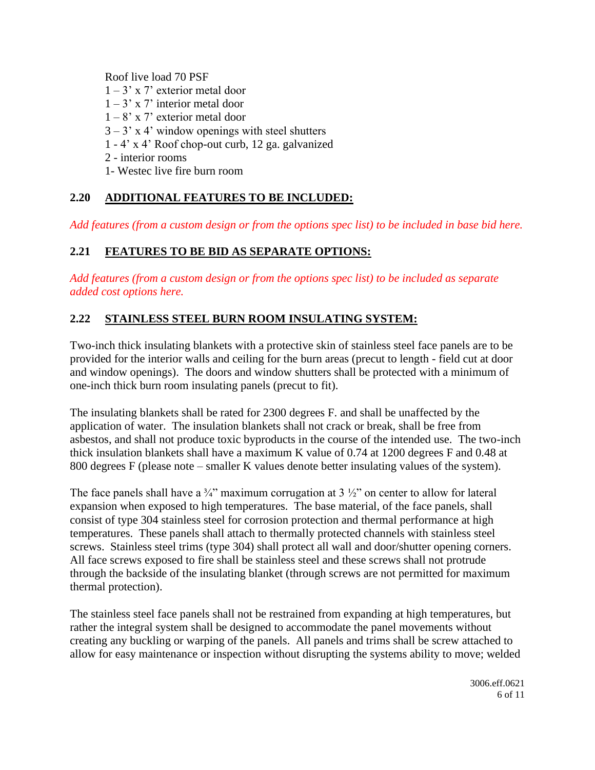Roof live load 70 PSF

- $1 3'$  x 7' exterior metal door
- $1 3'$  x 7' interior metal door
- $1 8$ ' x 7' exterior metal door
- $3 3'$  x 4' window openings with steel shutters
- 1 4' x 4' Roof chop-out curb, 12 ga. galvanized
- 2 interior rooms
- 1- Westec live fire burn room

## **2.20 ADDITIONAL FEATURES TO BE INCLUDED:**

*Add features (from a custom design or from the options spec list) to be included in base bid here.*

# **2.21 FEATURES TO BE BID AS SEPARATE OPTIONS:**

*Add features (from a custom design or from the options spec list) to be included as separate added cost options here.*

### **2.22 STAINLESS STEEL BURN ROOM INSULATING SYSTEM:**

Two-inch thick insulating blankets with a protective skin of stainless steel face panels are to be provided for the interior walls and ceiling for the burn areas (precut to length - field cut at door and window openings). The doors and window shutters shall be protected with a minimum of one-inch thick burn room insulating panels (precut to fit).

The insulating blankets shall be rated for 2300 degrees F. and shall be unaffected by the application of water. The insulation blankets shall not crack or break, shall be free from asbestos, and shall not produce toxic byproducts in the course of the intended use. The two-inch thick insulation blankets shall have a maximum K value of 0.74 at 1200 degrees F and 0.48 at 800 degrees F (please note – smaller K values denote better insulating values of the system).

The face panels shall have a  $\frac{3}{4}$ " maximum corrugation at 3  $\frac{1}{2}$ " on center to allow for lateral expansion when exposed to high temperatures. The base material, of the face panels, shall consist of type 304 stainless steel for corrosion protection and thermal performance at high temperatures. These panels shall attach to thermally protected channels with stainless steel screws. Stainless steel trims (type 304) shall protect all wall and door/shutter opening corners. All face screws exposed to fire shall be stainless steel and these screws shall not protrude through the backside of the insulating blanket (through screws are not permitted for maximum thermal protection).

The stainless steel face panels shall not be restrained from expanding at high temperatures, but rather the integral system shall be designed to accommodate the panel movements without creating any buckling or warping of the panels. All panels and trims shall be screw attached to allow for easy maintenance or inspection without disrupting the systems ability to move; welded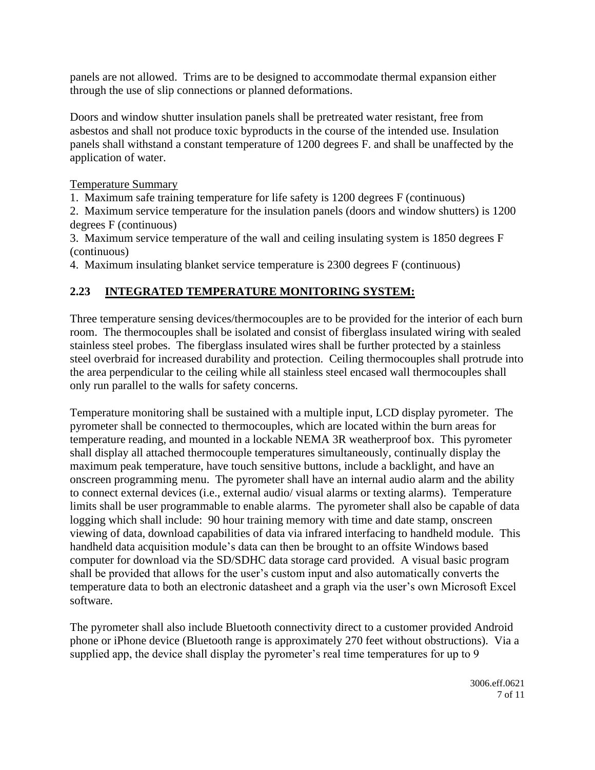panels are not allowed. Trims are to be designed to accommodate thermal expansion either through the use of slip connections or planned deformations.

Doors and window shutter insulation panels shall be pretreated water resistant, free from asbestos and shall not produce toxic byproducts in the course of the intended use. Insulation panels shall withstand a constant temperature of 1200 degrees F. and shall be unaffected by the application of water.

#### Temperature Summary

1. Maximum safe training temperature for life safety is 1200 degrees F (continuous)

2. Maximum service temperature for the insulation panels (doors and window shutters) is 1200 degrees F (continuous)

3. Maximum service temperature of the wall and ceiling insulating system is 1850 degrees F (continuous)

4. Maximum insulating blanket service temperature is 2300 degrees F (continuous)

# **2.23 INTEGRATED TEMPERATURE MONITORING SYSTEM:**

Three temperature sensing devices/thermocouples are to be provided for the interior of each burn room. The thermocouples shall be isolated and consist of fiberglass insulated wiring with sealed stainless steel probes. The fiberglass insulated wires shall be further protected by a stainless steel overbraid for increased durability and protection. Ceiling thermocouples shall protrude into the area perpendicular to the ceiling while all stainless steel encased wall thermocouples shall only run parallel to the walls for safety concerns.

Temperature monitoring shall be sustained with a multiple input, LCD display pyrometer. The pyrometer shall be connected to thermocouples, which are located within the burn areas for temperature reading, and mounted in a lockable NEMA 3R weatherproof box. This pyrometer shall display all attached thermocouple temperatures simultaneously, continually display the maximum peak temperature, have touch sensitive buttons, include a backlight, and have an onscreen programming menu. The pyrometer shall have an internal audio alarm and the ability to connect external devices (i.e., external audio/ visual alarms or texting alarms). Temperature limits shall be user programmable to enable alarms. The pyrometer shall also be capable of data logging which shall include: 90 hour training memory with time and date stamp, onscreen viewing of data, download capabilities of data via infrared interfacing to handheld module. This handheld data acquisition module's data can then be brought to an offsite Windows based computer for download via the SD/SDHC data storage card provided. A visual basic program shall be provided that allows for the user's custom input and also automatically converts the temperature data to both an electronic datasheet and a graph via the user's own Microsoft Excel software.

The pyrometer shall also include Bluetooth connectivity direct to a customer provided Android phone or iPhone device (Bluetooth range is approximately 270 feet without obstructions). Via a supplied app, the device shall display the pyrometer's real time temperatures for up to 9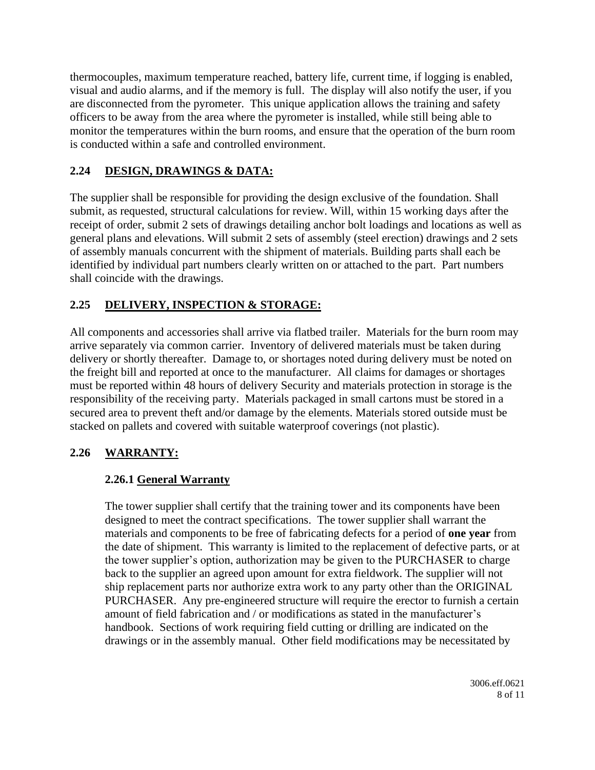thermocouples, maximum temperature reached, battery life, current time, if logging is enabled, visual and audio alarms, and if the memory is full. The display will also notify the user, if you are disconnected from the pyrometer. This unique application allows the training and safety officers to be away from the area where the pyrometer is installed, while still being able to monitor the temperatures within the burn rooms, and ensure that the operation of the burn room is conducted within a safe and controlled environment.

# **2.24 DESIGN, DRAWINGS & DATA:**

The supplier shall be responsible for providing the design exclusive of the foundation. Shall submit, as requested, structural calculations for review. Will, within 15 working days after the receipt of order, submit 2 sets of drawings detailing anchor bolt loadings and locations as well as general plans and elevations. Will submit 2 sets of assembly (steel erection) drawings and 2 sets of assembly manuals concurrent with the shipment of materials. Building parts shall each be identified by individual part numbers clearly written on or attached to the part. Part numbers shall coincide with the drawings.

## **2.25 DELIVERY, INSPECTION & STORAGE:**

All components and accessories shall arrive via flatbed trailer. Materials for the burn room may arrive separately via common carrier. Inventory of delivered materials must be taken during delivery or shortly thereafter. Damage to, or shortages noted during delivery must be noted on the freight bill and reported at once to the manufacturer. All claims for damages or shortages must be reported within 48 hours of delivery Security and materials protection in storage is the responsibility of the receiving party. Materials packaged in small cartons must be stored in a secured area to prevent theft and/or damage by the elements. Materials stored outside must be stacked on pallets and covered with suitable waterproof coverings (not plastic).

# **2.26 WARRANTY:**

### **2.26.1 General Warranty**

The tower supplier shall certify that the training tower and its components have been designed to meet the contract specifications. The tower supplier shall warrant the materials and components to be free of fabricating defects for a period of **one year** from the date of shipment. This warranty is limited to the replacement of defective parts, or at the tower supplier's option, authorization may be given to the PURCHASER to charge back to the supplier an agreed upon amount for extra fieldwork. The supplier will not ship replacement parts nor authorize extra work to any party other than the ORIGINAL PURCHASER. Any pre-engineered structure will require the erector to furnish a certain amount of field fabrication and / or modifications as stated in the manufacturer's handbook. Sections of work requiring field cutting or drilling are indicated on the drawings or in the assembly manual. Other field modifications may be necessitated by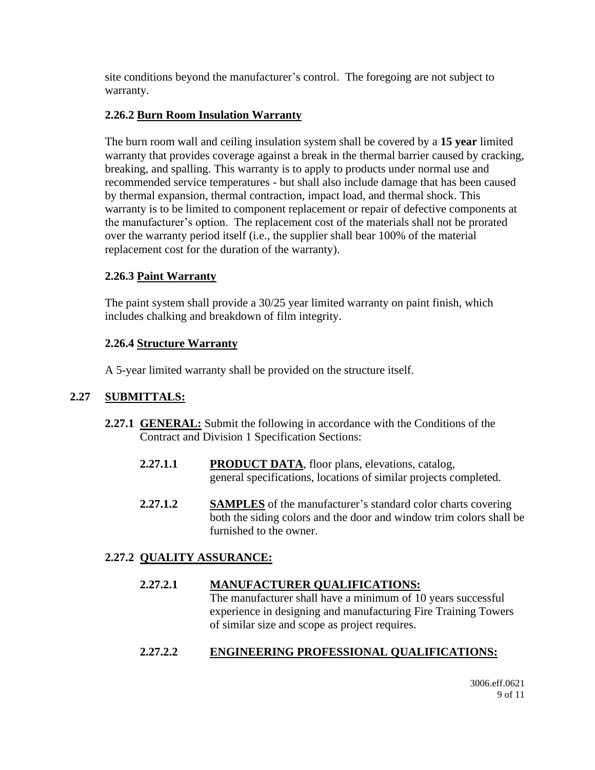site conditions beyond the manufacturer's control. The foregoing are not subject to warranty.

### **2.26.2 Burn Room Insulation Warranty**

The burn room wall and ceiling insulation system shall be covered by a **15 year** limited warranty that provides coverage against a break in the thermal barrier caused by cracking, breaking, and spalling. This warranty is to apply to products under normal use and recommended service temperatures - but shall also include damage that has been caused by thermal expansion, thermal contraction, impact load, and thermal shock. This warranty is to be limited to component replacement or repair of defective components at the manufacturer's option. The replacement cost of the materials shall not be prorated over the warranty period itself (i.e., the supplier shall bear 100% of the material replacement cost for the duration of the warranty).

## **2.26.3 Paint Warranty**

The paint system shall provide a 30/25 year limited warranty on paint finish, which includes chalking and breakdown of film integrity.

## **2.26.4 Structure Warranty**

A 5-year limited warranty shall be provided on the structure itself.

### **2.27 SUBMITTALS:**

- **2.27.1 GENERAL:** Submit the following in accordance with the Conditions of the Contract and Division 1 Specification Sections:
	- **2.27.1.1 PRODUCT DATA**, floor plans, elevations, catalog, general specifications, locations of similar projects completed.
	- **2.27.1.2 SAMPLES** of the manufacturer's standard color charts covering both the siding colors and the door and window trim colors shall be furnished to the owner.

# **2.27.2 QUALITY ASSURANCE:**

### **2.27.2.1 MANUFACTURER QUALIFICATIONS:**

The manufacturer shall have a minimum of 10 years successful experience in designing and manufacturing Fire Training Towers of similar size and scope as project requires.

# **2.27.2.2 ENGINEERING PROFESSIONAL QUALIFICATIONS:**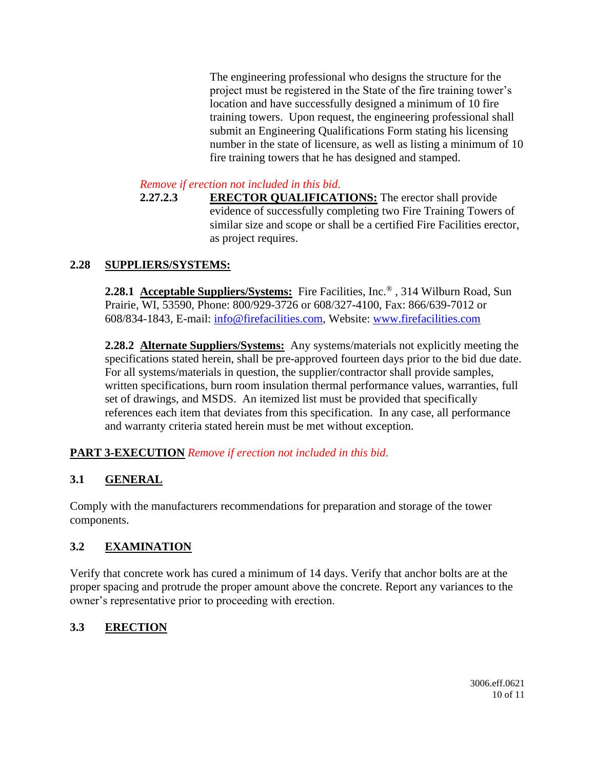The engineering professional who designs the structure for the project must be registered in the State of the fire training tower's location and have successfully designed a minimum of 10 fire training towers. Upon request, the engineering professional shall submit an Engineering Qualifications Form stating his licensing number in the state of licensure, as well as listing a minimum of 10 fire training towers that he has designed and stamped.

*Remove if erection not included in this bid*.

**2.27.2.3 ERECTOR QUALIFICATIONS:** The erector shall provide evidence of successfully completing two Fire Training Towers of similar size and scope or shall be a certified Fire Facilities erector, as project requires.

# **2.28 SUPPLIERS/SYSTEMS:**

**2.28.1 Acceptable Suppliers/Systems:** Fire Facilities, Inc.® , 314 Wilburn Road, Sun Prairie, WI, 53590, Phone: 800/929-3726 or 608/327-4100, Fax: 866/639-7012 or 608/834-1843, E-mail: [info@firefacilities.com,](mailto:info@firefacilities.com) Website: [www.firefacilities.com](http://www.firefacilities.com/)

**2.28.2 Alternate Suppliers/Systems:** Any systems/materials not explicitly meeting the specifications stated herein, shall be pre-approved fourteen days prior to the bid due date. For all systems/materials in question, the supplier/contractor shall provide samples, written specifications, burn room insulation thermal performance values, warranties, full set of drawings, and MSDS. An itemized list must be provided that specifically references each item that deviates from this specification. In any case, all performance and warranty criteria stated herein must be met without exception.

### **PART 3-EXECUTION** *Remove if erection not included in this bid*.

# **3.1 GENERAL**

Comply with the manufacturers recommendations for preparation and storage of the tower components.

### **3.2 EXAMINATION**

Verify that concrete work has cured a minimum of 14 days. Verify that anchor bolts are at the proper spacing and protrude the proper amount above the concrete. Report any variances to the owner's representative prior to proceeding with erection.

### **3.3 ERECTION**